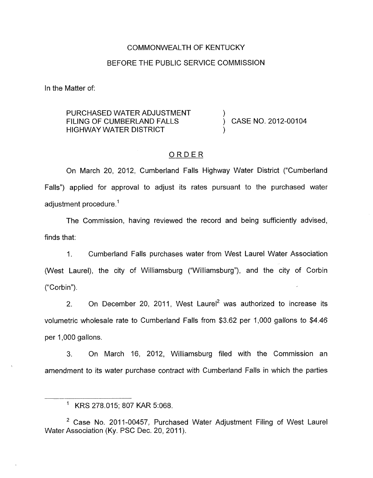#### COMMONWEALTH OF KENTUCKY

#### BEFORE THE PUBLIC SERVICE COMMISSION

In the Matter of:

### PURCHASED WATER ADJUSTMENT  $\qquad \qquad$ ) CASE NO. 2012-00104 HIGHWAY WATER DISTRICT ) FILING OF CUMBERLAND FALLS

### ORDER

On March 20, 2012, Cumberland Falls Highway Water District ("Cumberland Falls") applied for approval to adjust its rates pursuant to the purchased water adjustment procedure.<sup>1</sup>

The Commission, having reviewed the record and being sufficiently advised, finds that:

I. Cumberland Falls purchases water from West Laurel Water Association (West Laurel), the city of Williamsburg ("Williamsburg"), and the city of Corbin ("Corbin").

2. On December 20, 2011, West Laurel<sup>2</sup> was authorized to increase its volumetric wholesale rate to Cumberland Falls from \$3.62 per 1,000 gallons to \$4.46 per 1,000 gallons.

3. On March 16, 2012, Williamsburg filed with the Commission an amendment to its water purchase contract with Cumberland Falls in which the parties

<sup>&#</sup>x27; KRS 278.015; 807 KAR 5:068.

Case **No.** 2011-00457, Purchased Water Adjustment Filing of West Laurel Water Association (Ky. PSC Dec. 20, 2011).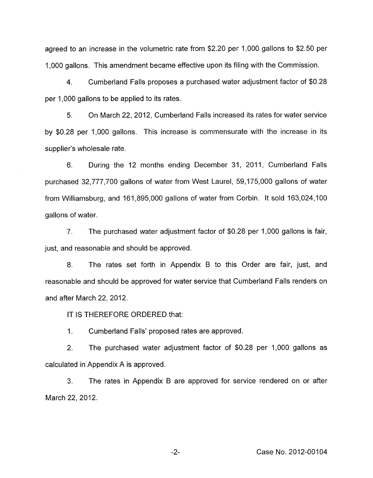agreed to an increase in the volumetric rate from \$2.20 per 1,000 gallons to \$2.50 per 1,000 gallons. This amendment became effective upon its filing with the Commission.

4. Cumberland Falls proposes a purchased water adjustment factor of \$0.28 per 1,000 gallons to be applied to its rates.

5. On March 22, 2012, Cumberland Falls increased its rates for water service by \$0.28 per 1,000 gallons. This increase is commensurate with the increase in its supplier's wholesale rate.

6. During the 12 months ending December 31, 2011, Cumberland Falls purchased 32,777,700 gallons of water from West Laurel, 59,175,000 gallons of water from Williamsburg, and 161,895,000 gallons of water from Corbin. It sold 163,024,100 gallons of water.

7. The purchased water adjustment factor of \$0.28 per 1,000 gallons is fair, just, and reasonable and should be approved.

8. The rates set forth in Appendix B to this Order are fair, just, and reasonable and should be approved for water service that Cumberland Falls renders on and after March 22,2012.

IT IS THEREFORE ORDERED that:

1. Cumberland Falls' proposed rates are approved.

2. The purchased water adjustment factor of \$0.28 per 1,000 gallons as calculated in Appendix A is approved.

3. March 22, 2012. The rates in Appendix B are approved for service rendered on or after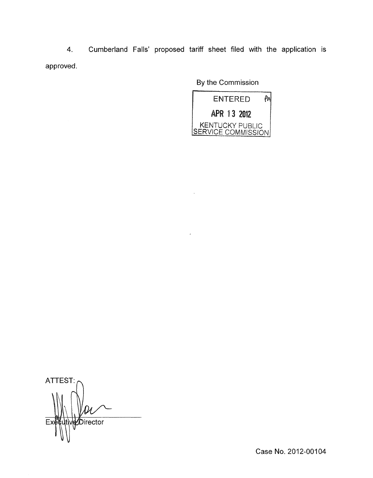Cumberland Falls' proposed tariff sheet filed with the application is  $4.$ approved.

By the Commission



ATTEST:  $\ell$ Director  $E$ 

Case No. 2012-00104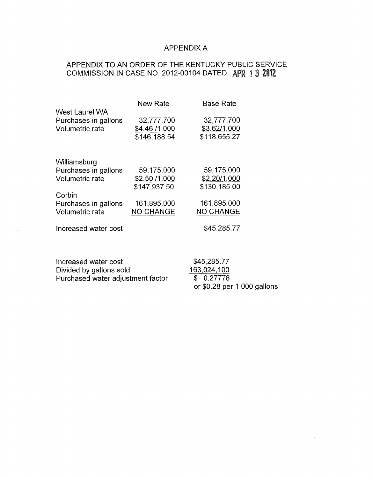## APPENDIX A

# APPENDIX TO AN ORDER OF THE KENTUCKY PUBLIC SERVICE COMMISSION IN CASE NO. 2012-00104 DATED APR 1 3 2012

|                        | <b>New Rate</b>  | <b>Base Rate</b> |
|------------------------|------------------|------------------|
| West Laurel WA         |                  |                  |
| Purchases in gallons   | 32,777,700       | 32,777,700       |
| Volumetric rate        | \$4.46 /1,000    | \$3.62/1,000     |
|                        | \$146,188.54     | \$118,655.27     |
| Williamsburg           |                  |                  |
| Purchases in gallons   | 59,175,000       | 59,175,000       |
| Volumetric rate        | \$2.50 /1,000    | \$2.20/1,000     |
|                        | \$147,937.50     | \$130,185.00     |
| Corbin                 |                  |                  |
| Purchases in gallons   | 161,895,000      | 161,895,000      |
| <b>Volumetric rate</b> | <b>NO CHANGE</b> | <b>NO CHANGE</b> |
| Increased water cost   |                  | \$45,285.77      |
|                        |                  |                  |
|                        |                  |                  |

| Increased water cost              | \$45,285.77                  |
|-----------------------------------|------------------------------|
| Divided by gallons sold           | 163,024,100                  |
| Purchased water adjustment factor | \$0.27778                    |
|                                   | or $$0.28$ per 1,000 gallons |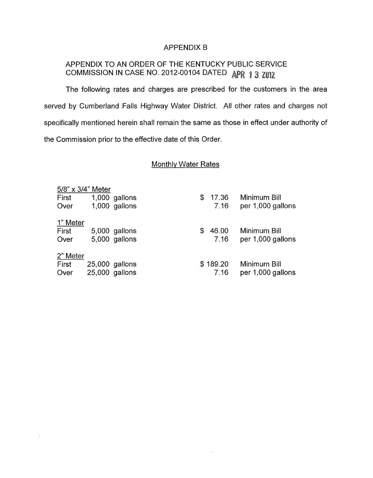### APPENDIX B

# APPENDIX TO AN ORDER OF THE KENTUCKY PUBLIC SERVICE COMMISSION IN CASE NO. 2012-00104 DATED APR 1 3 ZUIZ

The following rates and charges are prescribed for the customers in the area served by Cumberland Falls Highway Water District. All other rates and charges not specifically mentioned herein shall remain the same as those in effect under authority of the Commission prior to the effective date of this Order.

## Monthly Water Rates

| 5/8" x 3/4" Meter |                |               |    |          |                   |
|-------------------|----------------|---------------|----|----------|-------------------|
| First             |                | 1,000 gallons | \$ | 17.36    | Minimum Bill      |
| Over              |                | 1,000 gallons |    | 7.16     | per 1,000 gallons |
|                   |                |               |    |          |                   |
| 1" Meter          |                |               |    |          |                   |
| First             |                | 5,000 gallons | S  | 46.00    | Minimum Bill      |
| Over              |                | 5,000 gallons |    | 7.16     | per 1,000 gallons |
|                   |                |               |    |          |                   |
| 2" Meter          |                |               |    |          |                   |
| First             | 25,000 gallons |               |    | \$189.20 | Minimum Bill      |
| Over              | 25,000 gallons |               |    | 7.16     | per 1,000 gallons |
|                   |                |               |    |          |                   |